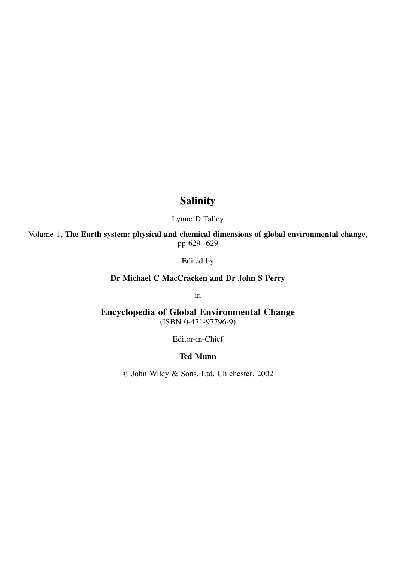## **Salinity**

Lynne D Talley

Volume 1, **The Earth system: physical and chemical dimensions of global environmental change**, pp 629–629

Edited by

**Dr Michael C MacCracken and Dr John S Perry**

in

**Encyclopedia of Global Environmental Change** (ISBN 0-471-97796-9)

Editor-in-Chief

## **Ted Munn**

John Wiley & Sons, Ltd, Chichester, 2002